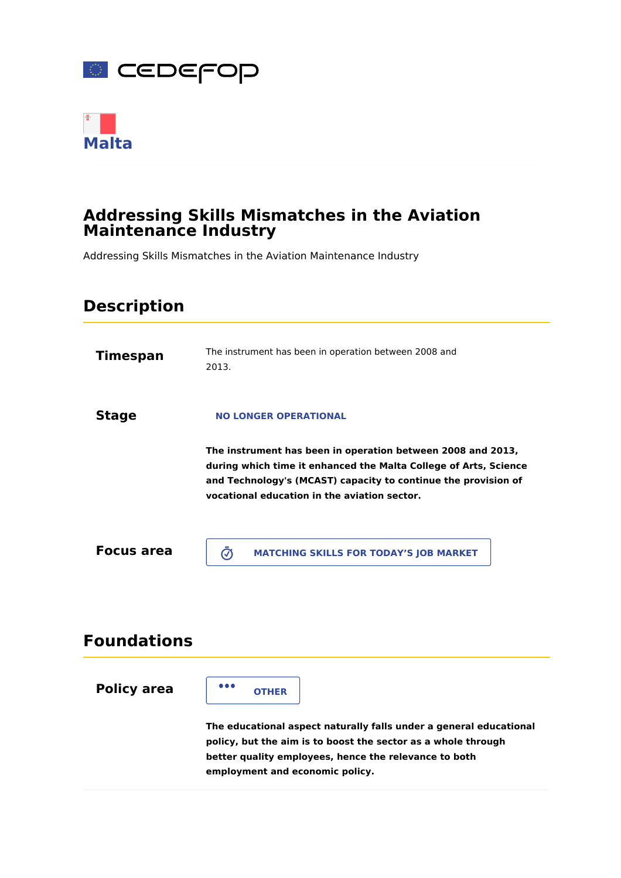



## **Addressing Skills Mismatches in the Aviation Maintenance Industry**

Addressing Skills Mismatches in the Aviation Maintenance Industry

# **Timespan** The instrument has been in operation between 2008 and 2013. **Stage The instrument has been in operation between 2008 and 2013, during which time it enhanced the Malta College of Arts, Science and Technology's (MCAST) capacity to continue the provision of vocational education in the aviation sector. Focus area Policy area The educational aspect naturally falls under a general educational policy, but the aim is to boost the sector as a whole through better quality employees, hence the relevance to both employment and economic policy. Description Foundations NO LONGER OPERATIONAL MATCHING SKILLS FOR TODAY'S JOB MARKET OTHER**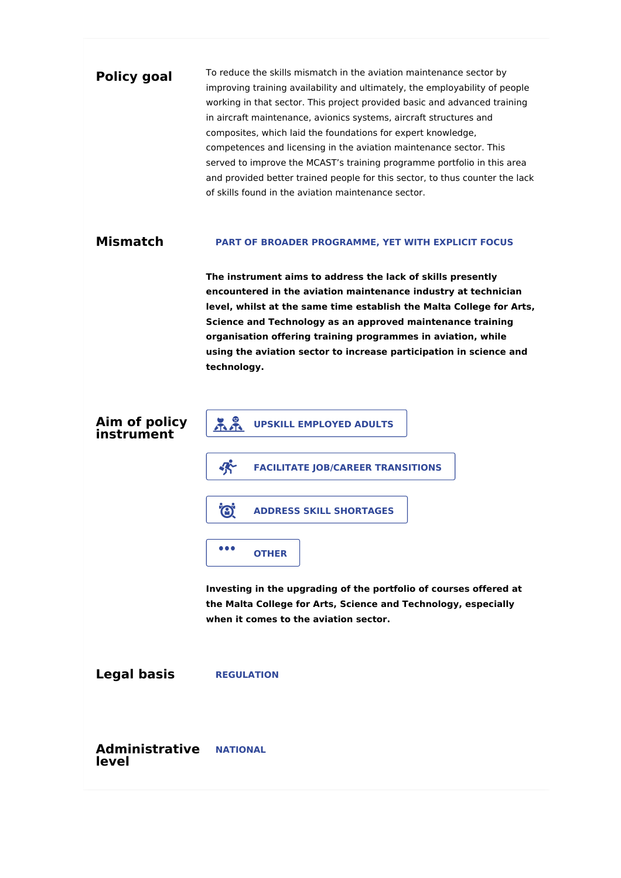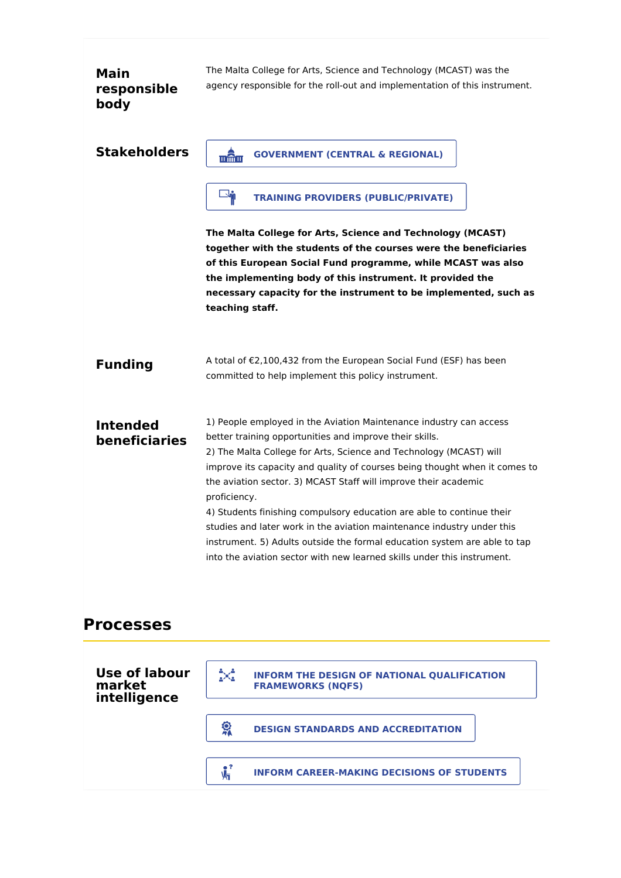| <b>Main</b><br>responsible<br>body      | The Malta College for Arts, Science and Technology (MCAST) was the<br>agency responsible for the roll-out and implementation of this instrument.                                                                                                                                                                                                                                                                                                                                                                                                                                                                                                                                |
|-----------------------------------------|---------------------------------------------------------------------------------------------------------------------------------------------------------------------------------------------------------------------------------------------------------------------------------------------------------------------------------------------------------------------------------------------------------------------------------------------------------------------------------------------------------------------------------------------------------------------------------------------------------------------------------------------------------------------------------|
| <b>Stakeholders</b>                     | <b>GOVERNMENT (CENTRAL &amp; REGIONAL)</b><br><u>प्रक्तिपा</u>                                                                                                                                                                                                                                                                                                                                                                                                                                                                                                                                                                                                                  |
|                                         | $\mathbb{R}$<br><b>TRAINING PROVIDERS (PUBLIC/PRIVATE)</b>                                                                                                                                                                                                                                                                                                                                                                                                                                                                                                                                                                                                                      |
|                                         | The Malta College for Arts, Science and Technology (MCAST)<br>together with the students of the courses were the beneficiaries<br>of this European Social Fund programme, while MCAST was also<br>the implementing body of this instrument. It provided the<br>necessary capacity for the instrument to be implemented, such as<br>teaching staff.                                                                                                                                                                                                                                                                                                                              |
| <b>Funding</b>                          | A total of €2,100,432 from the European Social Fund (ESF) has been<br>committed to help implement this policy instrument.                                                                                                                                                                                                                                                                                                                                                                                                                                                                                                                                                       |
| <b>Intended</b><br><b>beneficiaries</b> | 1) People employed in the Aviation Maintenance industry can access<br>better training opportunities and improve their skills.<br>2) The Malta College for Arts, Science and Technology (MCAST) will<br>improve its capacity and quality of courses being thought when it comes to<br>the aviation sector. 3) MCAST Staff will improve their academic<br>proficiency.<br>4) Students finishing compulsory education are able to continue their<br>studies and later work in the aviation maintenance industry under this<br>instrument. 5) Adults outside the formal education system are able to tap<br>into the aviation sector with new learned skills under this instrument. |
| <b>Processes</b>                        |                                                                                                                                                                                                                                                                                                                                                                                                                                                                                                                                                                                                                                                                                 |

| Use of labour<br>market<br>intelligence | X<br><b>INFORM THE DESIGN OF NATIONAL QUALIFICATION</b><br><b>FRAMEWORKS (NOFS)</b> |  |
|-----------------------------------------|-------------------------------------------------------------------------------------|--|
|                                         | <b>DESIGN STANDARDS AND ACCREDITATION</b>                                           |  |
|                                         | <b>INFORM CAREER-MAKING DECISIONS OF STUDENTS</b>                                   |  |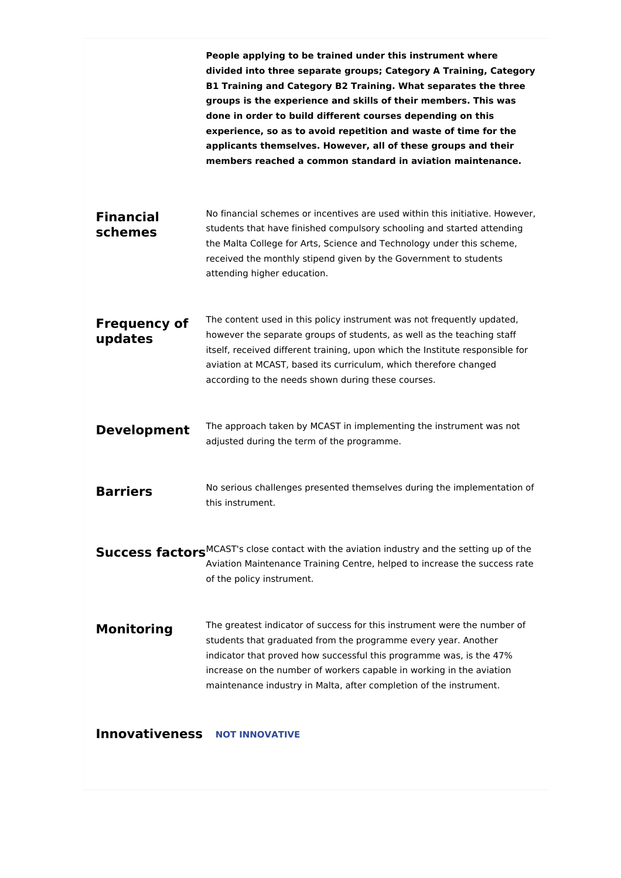|                                | People applying to be trained under this instrument where<br>divided into three separate groups; Category A Training, Category<br>B1 Training and Category B2 Training. What separates the three<br>groups is the experience and skills of their members. This was<br>done in order to build different courses depending on this<br>experience, so as to avoid repetition and waste of time for the<br>applicants themselves. However, all of these groups and their<br>members reached a common standard in aviation maintenance. |
|--------------------------------|------------------------------------------------------------------------------------------------------------------------------------------------------------------------------------------------------------------------------------------------------------------------------------------------------------------------------------------------------------------------------------------------------------------------------------------------------------------------------------------------------------------------------------|
| <b>Financial</b><br>schemes    | No financial schemes or incentives are used within this initiative. However,<br>students that have finished compulsory schooling and started attending<br>the Malta College for Arts, Science and Technology under this scheme,<br>received the monthly stipend given by the Government to students<br>attending higher education.                                                                                                                                                                                                 |
| <b>Frequency of</b><br>updates | The content used in this policy instrument was not frequently updated,<br>however the separate groups of students, as well as the teaching staff<br>itself, received different training, upon which the Institute responsible for<br>aviation at MCAST, based its curriculum, which therefore changed<br>according to the needs shown during these courses.                                                                                                                                                                        |
| <b>Development</b>             | The approach taken by MCAST in implementing the instrument was not<br>adjusted during the term of the programme.                                                                                                                                                                                                                                                                                                                                                                                                                   |
| <b>Barriers</b>                | No serious challenges presented themselves during the implementation of<br>this instrument.                                                                                                                                                                                                                                                                                                                                                                                                                                        |
|                                | Success factors <sup>MCAST's close contact with the aviation industry and the setting up of the</sup><br>Aviation Maintenance Training Centre, helped to increase the success rate<br>of the policy instrument.                                                                                                                                                                                                                                                                                                                    |
| <b>Monitoring</b>              | The greatest indicator of success for this instrument were the number of<br>students that graduated from the programme every year. Another<br>indicator that proved how successful this programme was, is the 47%<br>increase on the number of workers capable in working in the aviation<br>maintenance industry in Malta, after completion of the instrument.                                                                                                                                                                    |
| <b>Innovativeness</b>          | <b>NOT INNOVATIVE</b>                                                                                                                                                                                                                                                                                                                                                                                                                                                                                                              |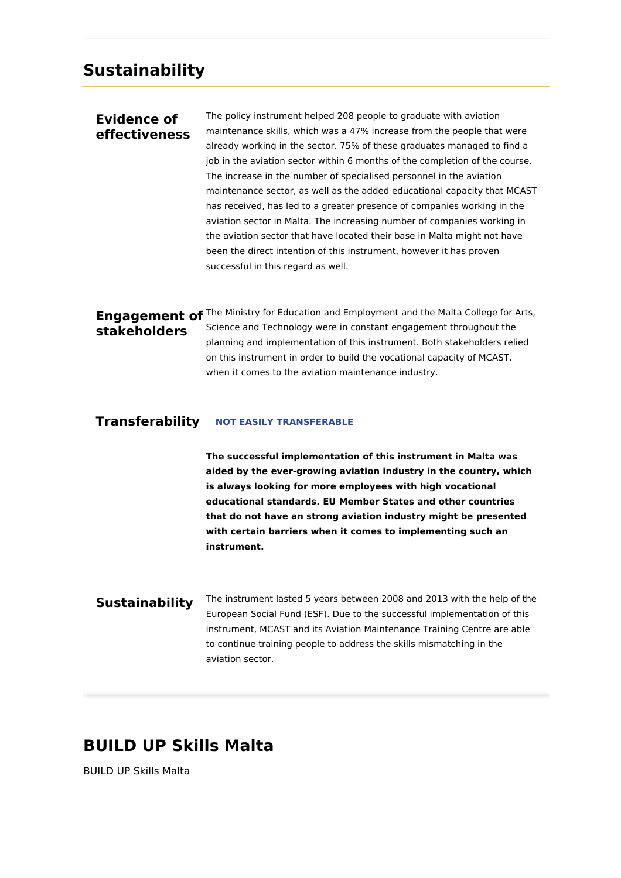## **Sustainability**

### **Evidence of effectiveness**

The policy instrument helped 208 people to graduate with aviation maintenance skills, which was a 47% increase from the people that were already working in the sector. 75% of these graduates managed to find a job in the aviation sector within 6 months of the completion of the course. The increase in the number of specialised personnel in the aviation maintenance sector, as well as the added educational capacity that MCAST has received, has led to a greater presence of companies working in the aviation sector in Malta. The increasing number of companies working in the aviation sector that have located their base in Malta might not have been the direct intention of this instrument, however it has proven successful in this regard as well.

### **Engagement of** The Ministry for Education and Employment and the Malta College for Arts, **stakeholders** Science and Technology were in constant engagement throughout the planning and implementation of this instrument. Both stakeholders relied on this instrument in order to build the vocational capacity of MCAST, when it comes to the aviation maintenance industry.

#### **Transferability NOT EASILY TRANSFERABLE**

**The successful implementation of this instrument in Malta was aided by the ever-growing aviation industry in the country, which is always looking for more employees with high vocational educational standards. EU Member States and other countries that do not have an strong aviation industry might be presented with certain barriers when it comes to implementing such an instrument.**

**Sustainability** The instrument lasted 5 years between 2008 and 2013 with the help of the European Social Fund (ESF). Due to the successful implementation of this instrument, MCAST and its Aviation Maintenance Training Centre are able to continue training people to address the skills mismatching in the aviation sector.

## **BUILD UP Skills Malta**

BUILD UP Skills Malta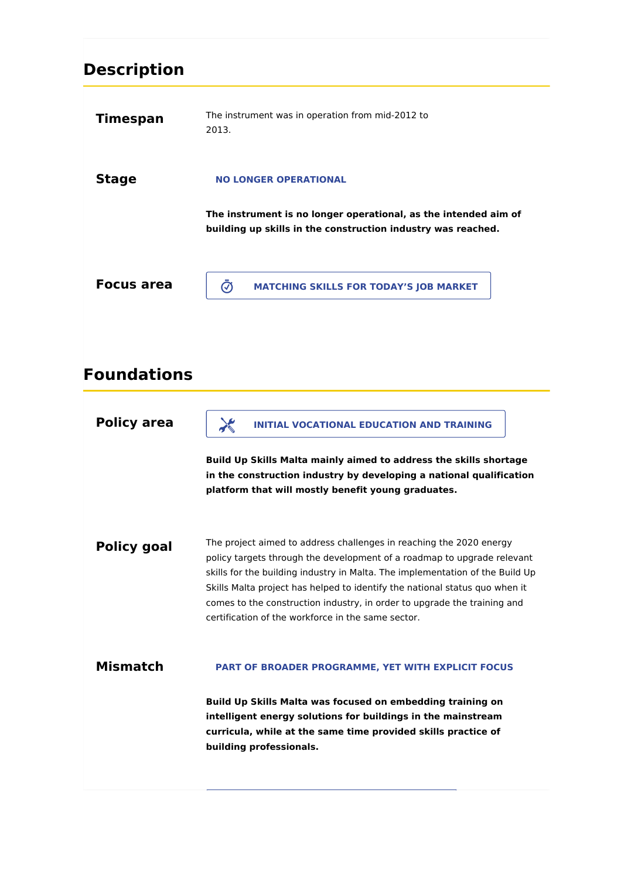# **Description**

| <b>Timespan</b>    | The instrument was in operation from mid-2012 to<br>2013.                                                                                                                                                                                                                                                                                                                                                                                        |
|--------------------|--------------------------------------------------------------------------------------------------------------------------------------------------------------------------------------------------------------------------------------------------------------------------------------------------------------------------------------------------------------------------------------------------------------------------------------------------|
| <b>Stage</b>       | <b>NO LONGER OPERATIONAL</b>                                                                                                                                                                                                                                                                                                                                                                                                                     |
|                    | The instrument is no longer operational, as the intended aim of<br>building up skills in the construction industry was reached.                                                                                                                                                                                                                                                                                                                  |
| <b>Focus area</b>  | $\bar{\bm{\odot}}$<br><b>MATCHING SKILLS FOR TODAY'S JOB MARKET</b>                                                                                                                                                                                                                                                                                                                                                                              |
| <b>Foundations</b> |                                                                                                                                                                                                                                                                                                                                                                                                                                                  |
| <b>Policy area</b> | $\lambda$<br><b>INITIAL VOCATIONAL EDUCATION AND TRAINING</b><br>Build Up Skills Malta mainly aimed to address the skills shortage<br>in the construction industry by developing a national qualification<br>platform that will mostly benefit young graduates.                                                                                                                                                                                  |
| <b>Policy goal</b> | The project aimed to address challenges in reaching the 2020 energy<br>policy targets through the development of a roadmap to upgrade relevant<br>skills for the building industry in Malta. The implementation of the Build Up<br>Skills Malta project has helped to identify the national status quo when it<br>comes to the construction industry, in order to upgrade the training and<br>certification of the workforce in the same sector. |
| <b>Mismatch</b>    | PART OF BROADER PROGRAMME, YET WITH EXPLICIT FOCUS<br>Build Up Skills Malta was focused on embedding training on                                                                                                                                                                                                                                                                                                                                 |
|                    | intelligent energy solutions for buildings in the mainstream<br>curricula, while at the same time provided skills practice of<br>building professionals.                                                                                                                                                                                                                                                                                         |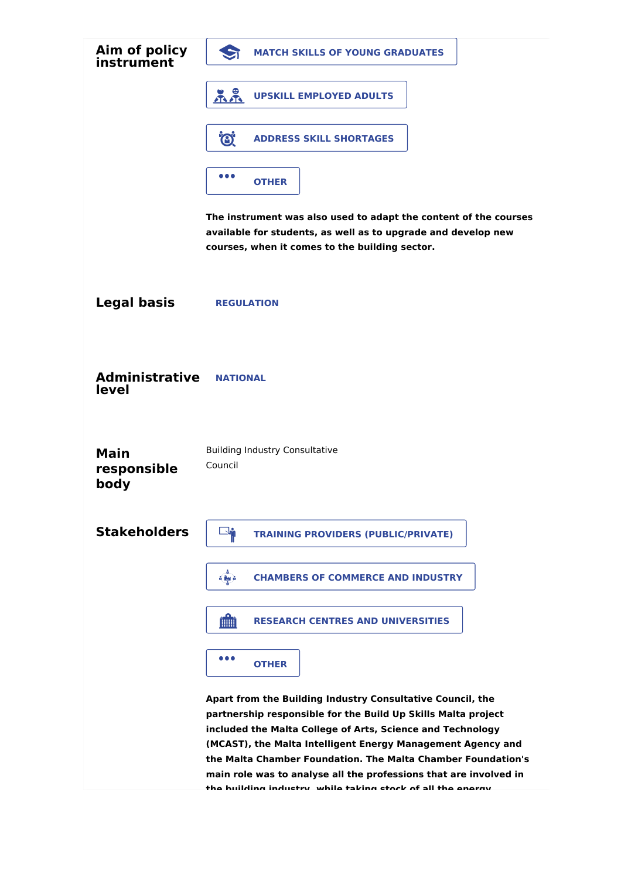| Aim of policy<br>instrument        | <b>MATCH SKILLS OF YOUNG GRADUATES</b>                                                                                                                                                                                                                                                                                                                                                                                                                      |
|------------------------------------|-------------------------------------------------------------------------------------------------------------------------------------------------------------------------------------------------------------------------------------------------------------------------------------------------------------------------------------------------------------------------------------------------------------------------------------------------------------|
|                                    | <b>UPSKILL EMPLOYED ADULTS</b>                                                                                                                                                                                                                                                                                                                                                                                                                              |
|                                    | O.<br><b>ADDRESS SKILL SHORTAGES</b>                                                                                                                                                                                                                                                                                                                                                                                                                        |
|                                    | $\bullet\bullet\bullet$<br><b>OTHER</b>                                                                                                                                                                                                                                                                                                                                                                                                                     |
|                                    | The instrument was also used to adapt the content of the courses<br>available for students, as well as to upgrade and develop new<br>courses, when it comes to the building sector.                                                                                                                                                                                                                                                                         |
| <b>Legal basis</b>                 | <b>REGULATION</b>                                                                                                                                                                                                                                                                                                                                                                                                                                           |
| <b>Administrative</b><br>level     | <b>NATIONAL</b>                                                                                                                                                                                                                                                                                                                                                                                                                                             |
| <b>Main</b><br>responsible<br>body | <b>Building Industry Consultative</b><br>Council                                                                                                                                                                                                                                                                                                                                                                                                            |
| <b>Stakeholders</b>                | <b>Right</b><br><b>TRAINING PROVIDERS (PUBLIC/PRIVATE)</b>                                                                                                                                                                                                                                                                                                                                                                                                  |
|                                    | <b>CHAMBERS OF COMMERCE AND INDUSTRY</b><br>a liga                                                                                                                                                                                                                                                                                                                                                                                                          |
|                                    | <b>film</b><br><b>RESEARCH CENTRES AND UNIVERSITIES</b>                                                                                                                                                                                                                                                                                                                                                                                                     |
|                                    | $\bullet\bullet\bullet$<br><b>OTHER</b>                                                                                                                                                                                                                                                                                                                                                                                                                     |
|                                    | Apart from the Building Industry Consultative Council, the<br>partnership responsible for the Build Up Skills Malta project<br>included the Malta College of Arts, Science and Technology<br>(MCAST), the Malta Intelligent Energy Management Agency and<br>the Malta Chamber Foundation. The Malta Chamber Foundation's<br>main role was to analyse all the professions that are involved in<br>tha huilding inductry whila taking ctack of all tha anargy |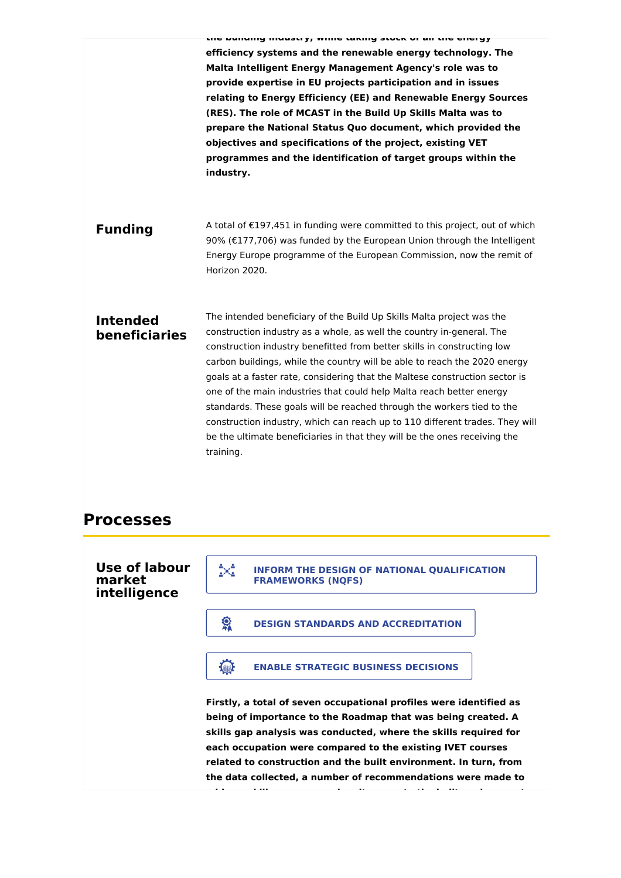|                                         | the national manage of antitle ranning story of all the energy<br>efficiency systems and the renewable energy technology. The<br>Malta Intelligent Energy Management Agency's role was to<br>provide expertise in EU projects participation and in issues<br>relating to Energy Efficiency (EE) and Renewable Energy Sources<br>(RES). The role of MCAST in the Build Up Skills Malta was to<br>prepare the National Status Quo document, which provided the<br>objectives and specifications of the project, existing VET<br>programmes and the identification of target groups within the<br>industry.                                                                                                          |
|-----------------------------------------|-------------------------------------------------------------------------------------------------------------------------------------------------------------------------------------------------------------------------------------------------------------------------------------------------------------------------------------------------------------------------------------------------------------------------------------------------------------------------------------------------------------------------------------------------------------------------------------------------------------------------------------------------------------------------------------------------------------------|
| <b>Funding</b>                          | A total of €197,451 in funding were committed to this project, out of which<br>90% (€177,706) was funded by the European Union through the Intelligent<br>Energy Europe programme of the European Commission, now the remit of<br>Horizon 2020.                                                                                                                                                                                                                                                                                                                                                                                                                                                                   |
| <b>Intended</b><br><b>beneficiaries</b> | The intended beneficiary of the Build Up Skills Malta project was the<br>construction industry as a whole, as well the country in-general. The<br>construction industry benefitted from better skills in constructing low<br>carbon buildings, while the country will be able to reach the 2020 energy<br>goals at a faster rate, considering that the Maltese construction sector is<br>one of the main industries that could help Malta reach better energy<br>standards. These goals will be reached through the workers tied to the<br>construction industry, which can reach up to 110 different trades. They will<br>be the ultimate beneficiaries in that they will be the ones receiving the<br>training. |
| <b>Processes</b>                        |                                                                                                                                                                                                                                                                                                                                                                                                                                                                                                                                                                                                                                                                                                                   |
| Use of labour<br>market<br>intelligence | X<br><b>INFORM THE DESIGN OF NATIONAL QUALIFICATION</b><br><b>FRAMEWORKS (NQFS)</b>                                                                                                                                                                                                                                                                                                                                                                                                                                                                                                                                                                                                                               |

**CONDUCTER BIGGIN STANDARDS AND ACCREDITATION** 

**ENABLE STRATEGIC BUSINESS DECISIONS** 

**Firstly, a total of seven occupational profiles were identified as being of importance to the Roadmap that was being created. A skills gap analysis was conducted, where the skills required for each occupation were compared to the existing IVET courses related to construction and the built environment. In turn, from the data collected, a number of recommendations were made to**

**address skills on energy when it comes to the built environment.**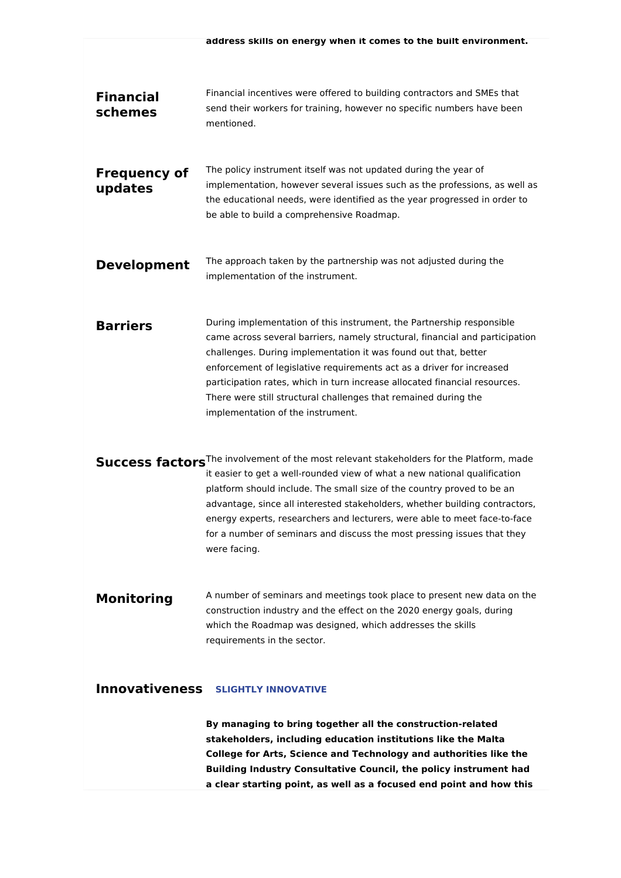| <b>Financial</b><br>schemes    | Financial incentives were offered to building contractors and SMEs that<br>send their workers for training, however no specific numbers have been<br>mentioned.                                                                                                                                                                                                                                                                                                                                                   |
|--------------------------------|-------------------------------------------------------------------------------------------------------------------------------------------------------------------------------------------------------------------------------------------------------------------------------------------------------------------------------------------------------------------------------------------------------------------------------------------------------------------------------------------------------------------|
| <b>Frequency of</b><br>updates | The policy instrument itself was not updated during the year of<br>implementation, however several issues such as the professions, as well as<br>the educational needs, were identified as the year progressed in order to<br>be able to build a comprehensive Roadmap.                                                                                                                                                                                                                                           |
| <b>Development</b>             | The approach taken by the partnership was not adjusted during the<br>implementation of the instrument.                                                                                                                                                                                                                                                                                                                                                                                                            |
| <b>Barriers</b>                | During implementation of this instrument, the Partnership responsible<br>came across several barriers, namely structural, financial and participation<br>challenges. During implementation it was found out that, better<br>enforcement of legislative requirements act as a driver for increased<br>participation rates, which in turn increase allocated financial resources.<br>There were still structural challenges that remained during the<br>implementation of the instrument.                           |
|                                | Success factors <sup>The involvement of the most relevant stakeholders for the Platform, made</sup><br>it easier to get a well-rounded view of what a new national qualification<br>platform should include. The small size of the country proved to be an<br>advantage, since all interested stakeholders, whether building contractors,<br>energy experts, researchers and lecturers, were able to meet face-to-face<br>for a number of seminars and discuss the most pressing issues that they<br>were facing. |
| <b>Monitoring</b>              | A number of seminars and meetings took place to present new data on the<br>construction industry and the effect on the 2020 energy goals, during<br>which the Roadmap was designed, which addresses the skills<br>requirements in the sector.                                                                                                                                                                                                                                                                     |
|                                | <b>Innovativeness SLIGHTLY INNOVATIVE</b>                                                                                                                                                                                                                                                                                                                                                                                                                                                                         |
|                                | By managing to bring together all the construction-related<br>stakeholders, including education institutions like the Malta                                                                                                                                                                                                                                                                                                                                                                                       |

**stakeholders, including education institutions like the Malta College for Arts, Science and Technology and authorities like the Building Industry Consultative Council, the policy instrument had a clear starting point, as well as a focused end point and how this**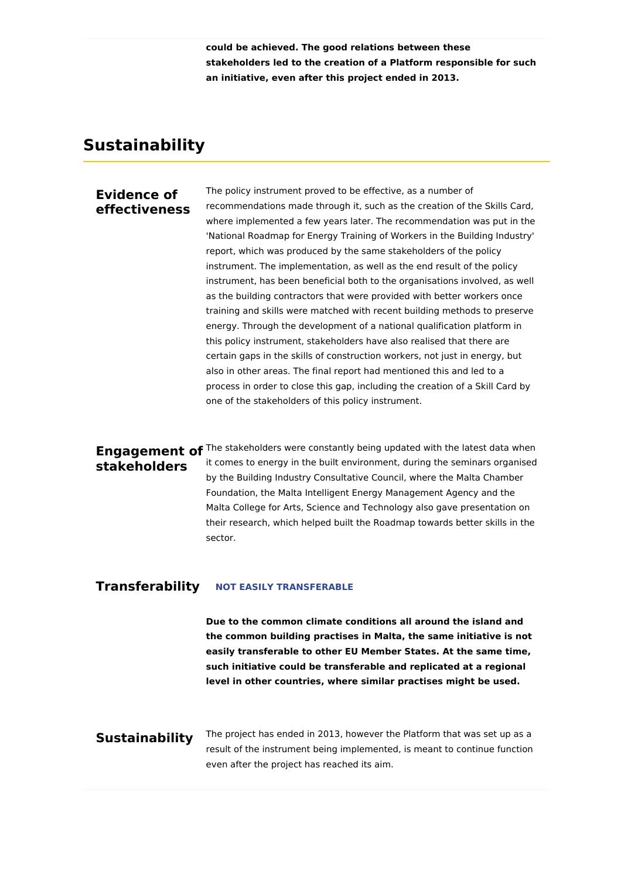**could be achieved. The good relations between these stakeholders led to the creation of a Platform responsible for such an initiative, even after this project ended in 2013.**

## **Sustainability**

### **Evidence of effectiveness**

The policy instrument proved to be effective, as a number of recommendations made through it, such as the creation of the Skills Card, where implemented a few years later. The recommendation was put in the 'National Roadmap for Energy Training of Workers in the Building Industry' report, which was produced by the same stakeholders of the policy instrument. The implementation, as well as the end result of the policy instrument, has been beneficial both to the organisations involved, as well as the building contractors that were provided with better workers once training and skills were matched with recent building methods to preserve energy. Through the development of a national qualification platform in this policy instrument, stakeholders have also realised that there are certain gaps in the skills of construction workers, not just in energy, but also in other areas. The final report had mentioned this and led to a process in order to close this gap, including the creation of a Skill Card by one of the stakeholders of this policy instrument.

**stakeholders**

**Engagement of** <sup>The stakeholders were constantly being updated with the latest data when</sup> it comes to energy in the built environment, during the seminars organised by the Building Industry Consultative Council, where the Malta Chamber Foundation, the Malta Intelligent Energy Management Agency and the Malta College for Arts, Science and Technology also gave presentation on their research, which helped built the Roadmap towards better skills in the sector.

#### **Transferability NOT EASILY TRANSFERABLE**

**Due to the common climate conditions all around the island and the common building practises in Malta, the same initiative is not easily transferable to other EU Member States. At the same time, such initiative could be transferable and replicated at a regional level in other countries, where similar practises might be used.**

### **Sustainability**

The project has ended in 2013, however the Platform that was set up as a result of the instrument being implemented, is meant to continue function even after the project has reached its aim.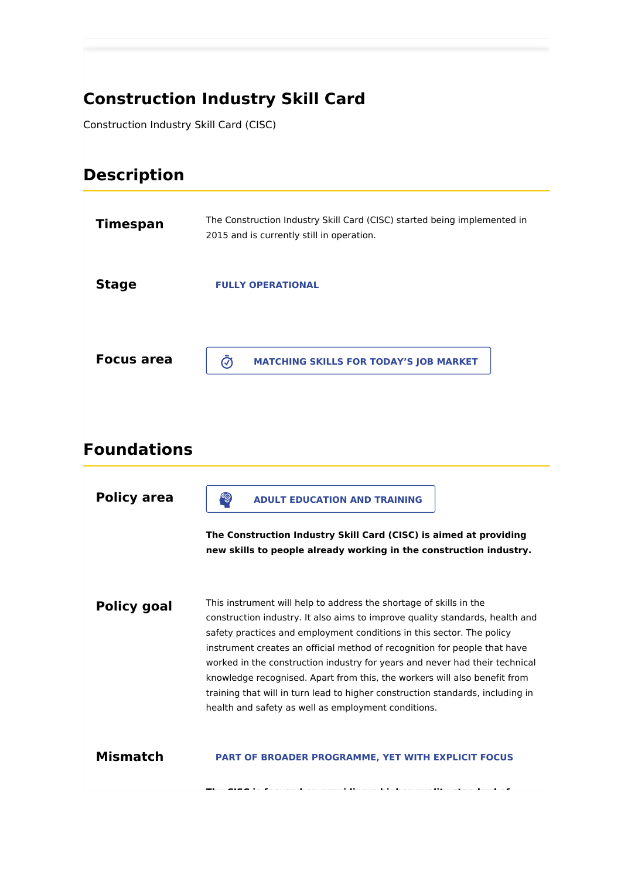## **Construction Industry Skill Card**

Construction Industry Skill Card (CISC)

## **Description**

| <b>Timespan</b>   | The Construction Industry Skill Card (CISC) started being implemented in<br>2015 and is currently still in operation. |
|-------------------|-----------------------------------------------------------------------------------------------------------------------|
| <b>Stage</b>      | <b>FULLY OPERATIONAL</b>                                                                                              |
| <b>Focus area</b> | <b>MATCHING SKILLS FOR TODAY'S JOB MARKET</b><br>$\mathcal{C}$                                                        |

## **Foundations**

| <b>Policy area</b> | E<br><b>ADULT EDUCATION AND TRAINING</b><br>The Construction Industry Skill Card (CISC) is aimed at providing<br>new skills to people already working in the construction industry.                                                                                                                                                                                                                                                                                                                                                                                                                           |
|--------------------|---------------------------------------------------------------------------------------------------------------------------------------------------------------------------------------------------------------------------------------------------------------------------------------------------------------------------------------------------------------------------------------------------------------------------------------------------------------------------------------------------------------------------------------------------------------------------------------------------------------|
| <b>Policy goal</b> | This instrument will help to address the shortage of skills in the<br>construction industry. It also aims to improve quality standards, health and<br>safety practices and employment conditions in this sector. The policy<br>instrument creates an official method of recognition for people that have<br>worked in the construction industry for years and never had their technical<br>knowledge recognised. Apart from this, the workers will also benefit from<br>training that will in turn lead to higher construction standards, including in<br>health and safety as well as employment conditions. |
| <b>Mismatch</b>    | <b>PART OF BROADER PROGRAMME, YET WITH EXPLICIT FOCUS</b>                                                                                                                                                                                                                                                                                                                                                                                                                                                                                                                                                     |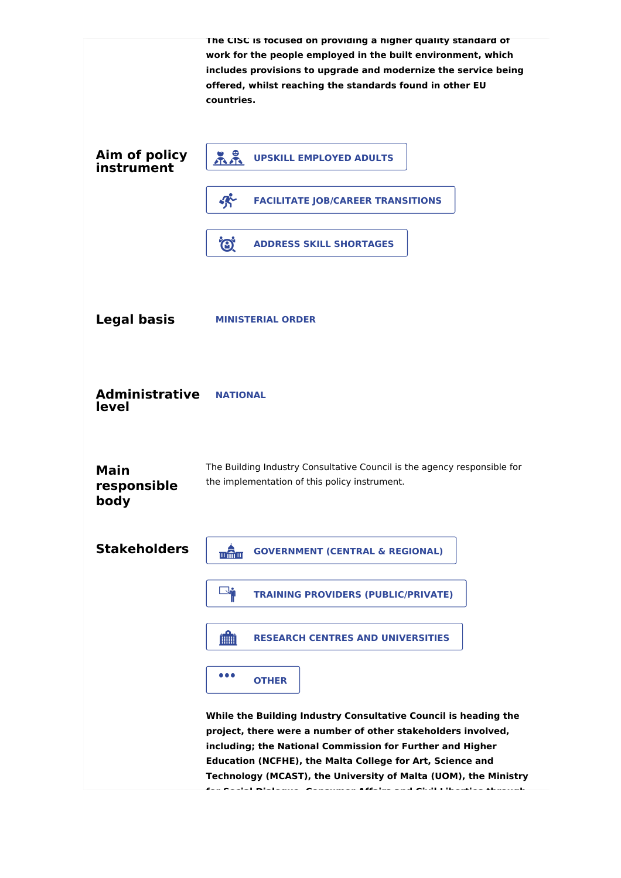|                                    | The CISC is focused on providing a higher quality standard of<br>work for the people employed in the built environment, which<br>includes provisions to upgrade and modernize the service being<br>offered, whilst reaching the standards found in other EU<br>countries.                                                    |
|------------------------------------|------------------------------------------------------------------------------------------------------------------------------------------------------------------------------------------------------------------------------------------------------------------------------------------------------------------------------|
| Aim of policy<br>instrument        | <u> LL</u><br><b>UPSKILL EMPLOYED ADULTS</b>                                                                                                                                                                                                                                                                                 |
|                                    | 外<br><b>FACILITATE JOB/CAREER TRANSITIONS</b>                                                                                                                                                                                                                                                                                |
|                                    | Ö.<br><b>ADDRESS SKILL SHORTAGES</b>                                                                                                                                                                                                                                                                                         |
| <b>Legal basis</b>                 | <b>MINISTERIAL ORDER</b>                                                                                                                                                                                                                                                                                                     |
| <b>Administrative</b><br>level     | <b>NATIONAL</b>                                                                                                                                                                                                                                                                                                              |
| <b>Main</b><br>responsible<br>body | The Building Industry Consultative Council is the agency responsible for<br>the implementation of this policy instrument.                                                                                                                                                                                                    |
| <b>Stakeholders</b>                | mân<br><b>GOVERNMENT (CENTRAL &amp; REGIONAL)</b>                                                                                                                                                                                                                                                                            |
|                                    | -4<br><b>TRAINING PROVIDERS (PUBLIC/PRIVATE)</b>                                                                                                                                                                                                                                                                             |
|                                    | 雦<br><b>RESEARCH CENTRES AND UNIVERSITIES</b>                                                                                                                                                                                                                                                                                |
|                                    | .<br><b>OTHER</b>                                                                                                                                                                                                                                                                                                            |
|                                    | While the Building Industry Consultative Council is heading the<br>project, there were a number of other stakeholders involved,<br>including; the National Commission for Further and Higher<br>Education (NCFHE), the Malta College for Art, Science and<br>Technology (MCAST), the University of Malta (UOM), the Ministry |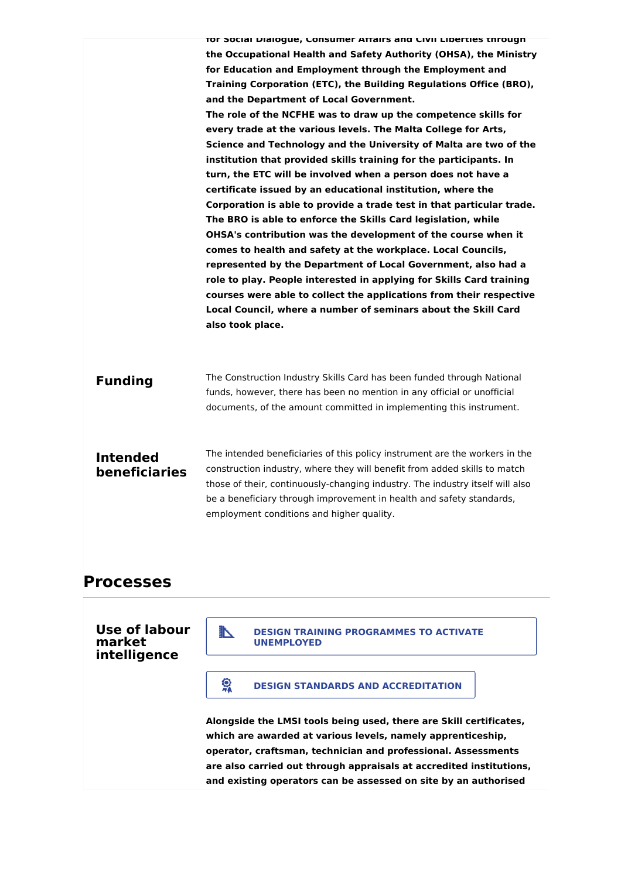|                                  | TOF SOCIAI DIAIOGUE, CONSUMER ATTAIFS AND CIVII LIDEFTIES TNFOUGN<br>the Occupational Health and Safety Authority (OHSA), the Ministry<br>for Education and Employment through the Employment and<br>Training Corporation (ETC), the Building Regulations Office (BRO),<br>and the Department of Local Government.<br>The role of the NCFHE was to draw up the competence skills for<br>every trade at the various levels. The Malta College for Arts,<br>Science and Technology and the University of Malta are two of the<br>institution that provided skills training for the participants. In<br>turn, the ETC will be involved when a person does not have a<br>certificate issued by an educational institution, where the<br>Corporation is able to provide a trade test in that particular trade.<br>The BRO is able to enforce the Skills Card legislation, while<br>OHSA's contribution was the development of the course when it<br>comes to health and safety at the workplace. Local Councils,<br>represented by the Department of Local Government, also had a<br>role to play. People interested in applying for Skills Card training<br>courses were able to collect the applications from their respective<br>Local Council, where a number of seminars about the Skill Card<br>also took place. |
|----------------------------------|-------------------------------------------------------------------------------------------------------------------------------------------------------------------------------------------------------------------------------------------------------------------------------------------------------------------------------------------------------------------------------------------------------------------------------------------------------------------------------------------------------------------------------------------------------------------------------------------------------------------------------------------------------------------------------------------------------------------------------------------------------------------------------------------------------------------------------------------------------------------------------------------------------------------------------------------------------------------------------------------------------------------------------------------------------------------------------------------------------------------------------------------------------------------------------------------------------------------------------------------------------------------------------------------------------------------|
| <b>Funding</b>                   | The Construction Industry Skills Card has been funded through National<br>funds, however, there has been no mention in any official or unofficial<br>documents, of the amount committed in implementing this instrument.                                                                                                                                                                                                                                                                                                                                                                                                                                                                                                                                                                                                                                                                                                                                                                                                                                                                                                                                                                                                                                                                                          |
| <b>Intended</b><br>beneficiaries | The intended beneficiaries of this policy instrument are the workers in the<br>construction industry, where they will benefit from added skills to match<br>those of their, continuously-changing industry. The industry itself will also<br>be a beneficiary through improvement in health and safety standards,<br>employment conditions and higher quality.                                                                                                                                                                                                                                                                                                                                                                                                                                                                                                                                                                                                                                                                                                                                                                                                                                                                                                                                                    |

### **Processes**

### **Use of labour market intelligence**



### **CONDUCTER BIGGIN STANDARDS AND ACCREDITATION**

**Alongside the LMSI tools being used, there are Skill certificates, which are awarded at various levels, namely apprenticeship, operator, craftsman, technician and professional. Assessments are also carried out through appraisals at accredited institutions, and existing operators can be assessed on site by an authorised**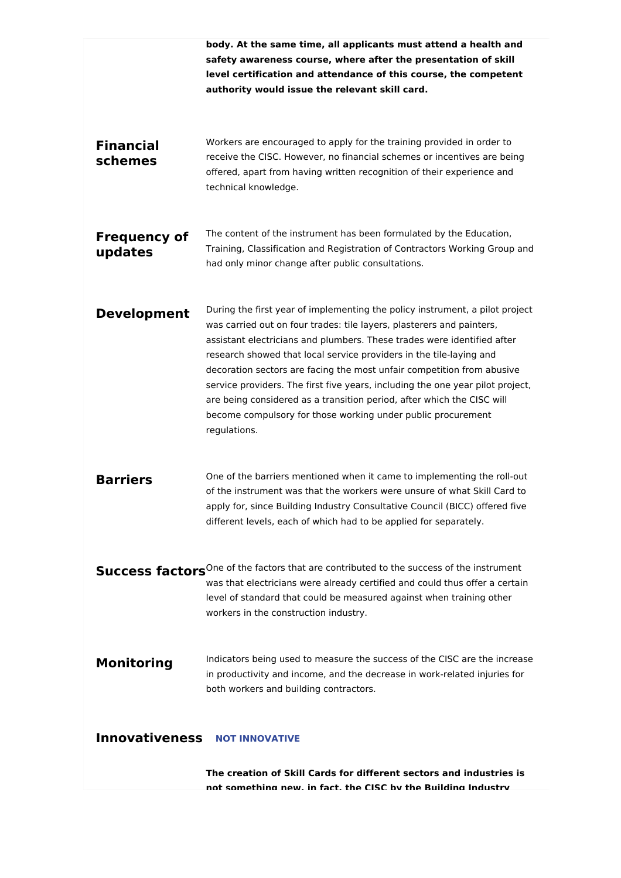|                                | body. At the same time, all applicants must attend a health and<br>safety awareness course, where after the presentation of skill<br>level certification and attendance of this course, the competent<br>authority would issue the relevant skill card.                                                                                                                                                                                                                                                                                                                                                                       |
|--------------------------------|-------------------------------------------------------------------------------------------------------------------------------------------------------------------------------------------------------------------------------------------------------------------------------------------------------------------------------------------------------------------------------------------------------------------------------------------------------------------------------------------------------------------------------------------------------------------------------------------------------------------------------|
| <b>Financial</b><br>schemes    | Workers are encouraged to apply for the training provided in order to<br>receive the CISC. However, no financial schemes or incentives are being<br>offered, apart from having written recognition of their experience and<br>technical knowledge.                                                                                                                                                                                                                                                                                                                                                                            |
| <b>Frequency of</b><br>updates | The content of the instrument has been formulated by the Education,<br>Training, Classification and Registration of Contractors Working Group and<br>had only minor change after public consultations.                                                                                                                                                                                                                                                                                                                                                                                                                        |
| <b>Development</b>             | During the first year of implementing the policy instrument, a pilot project<br>was carried out on four trades: tile layers, plasterers and painters,<br>assistant electricians and plumbers. These trades were identified after<br>research showed that local service providers in the tile-laying and<br>decoration sectors are facing the most unfair competition from abusive<br>service providers. The first five years, including the one year pilot project,<br>are being considered as a transition period, after which the CISC will<br>become compulsory for those working under public procurement<br>regulations. |
| <b>Barriers</b>                | One of the barriers mentioned when it came to implementing the roll-out<br>of the instrument was that the workers were unsure of what Skill Card to<br>apply for, since Building Industry Consultative Council (BICC) offered five<br>different levels, each of which had to be applied for separately.                                                                                                                                                                                                                                                                                                                       |
|                                | Success factors <sup>One of the factors that are contributed to the success of the instrument</sup><br>was that electricians were already certified and could thus offer a certain<br>level of standard that could be measured against when training other<br>workers in the construction industry.                                                                                                                                                                                                                                                                                                                           |
| <b>Monitoring</b>              | Indicators being used to measure the success of the CISC are the increase<br>in productivity and income, and the decrease in work-related injuries for<br>both workers and building contractors.                                                                                                                                                                                                                                                                                                                                                                                                                              |
| <b>Innovativeness</b>          | <b>NOT INNOVATIVE</b><br>The creation of Skill Cards for different sectors and industries is                                                                                                                                                                                                                                                                                                                                                                                                                                                                                                                                  |

**not something new, in fact, the CISC by the Building Industry**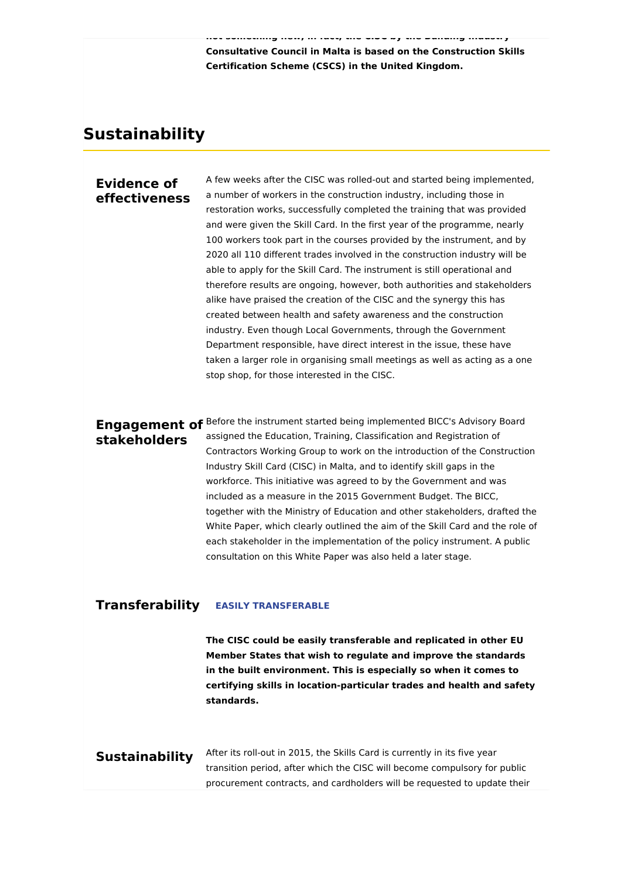**not something new, in fact, the CISC by the Building Industry Consultative Council in Malta is based on the Construction Skills Certification Scheme (CSCS) in the United Kingdom.**

## **Sustainability**

### **Evidence of effectiveness**

A few weeks after the CISC was rolled-out and started being implemented, a number of workers in the construction industry, including those in restoration works, successfully completed the training that was provided and were given the Skill Card. In the first year of the programme, nearly 100 workers took part in the courses provided by the instrument, and by 2020 all 110 different trades involved in the construction industry will be able to apply for the Skill Card. The instrument is still operational and therefore results are ongoing, however, both authorities and stakeholders alike have praised the creation of the CISC and the synergy this has created between health and safety awareness and the construction industry. Even though Local Governments, through the Government Department responsible, have direct interest in the issue, these have taken a larger role in organising small meetings as well as acting as a one stop shop, for those interested in the CISC.

# **stakeholders**

**Engagement of** Before the instrument started being implemented BICC's Advisory Board assigned the Education, Training, Classification and Registration of Contractors Working Group to work on the introduction of the Construction Industry Skill Card (CISC) in Malta, and to identify skill gaps in the workforce. This initiative was agreed to by the Government and was included as a measure in the 2015 Government Budget. The BICC, together with the Ministry of Education and other stakeholders, drafted the White Paper, which clearly outlined the aim of the Skill Card and the role of each stakeholder in the implementation of the policy instrument. A public consultation on this White Paper was also held a later stage.

#### **Transferability EASILY TRANSFERABLE**

**The CISC could be easily transferable and replicated in other EU Member States that wish to regulate and improve the standards in the built environment. This is especially so when it comes to certifying skills in location-particular trades and health and safety standards.**

### **Sustainability**

After its roll-out in 2015, the Skills Card is currently in its five year transition period, after which the CISC will become compulsory for public procurement contracts, and cardholders will be requested to update their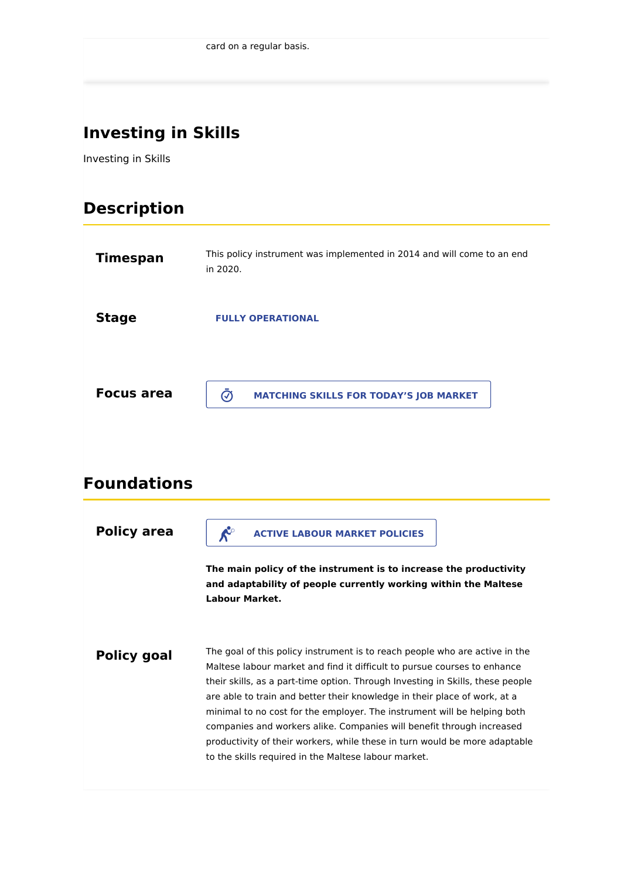## **Investing in Skills**

Investing in Skills

## **Description**

| <b>Timespan</b>    | This policy instrument was implemented in 2014 and will come to an end<br>in 2020.                                                                            |
|--------------------|---------------------------------------------------------------------------------------------------------------------------------------------------------------|
| <b>Stage</b>       | <b>FULLY OPERATIONAL</b>                                                                                                                                      |
| <b>Focus area</b>  | $\bar{\bm{\odot}}$<br><b>MATCHING SKILLS FOR TODAY'S JOB MARKET</b>                                                                                           |
| <b>Foundations</b> |                                                                                                                                                               |
| <b>Policy area</b> | $\mathcal{R}^{\circ}$<br><b>ACTIVE LABOUR MARKET POLICIES</b>                                                                                                 |
|                    | The main policy of the instrument is to increase the productivity<br>and adaptability of people currently working within the Maltese<br><b>Labour Market.</b> |
| <b>Policy goal</b> | The goal of this policy instrument is to reach people who are active in the<br>Maltese labour market and find it difficult to pursue courses to enhance       |

to the skills required in the Maltese labour market.

their skills, as a part-time option. Through Investing in Skills, these people are able to train and better their knowledge in their place of work, at a minimal to no cost for the employer. The instrument will be helping both companies and workers alike. Companies will benefit through increased productivity of their workers, while these in turn would be more adaptable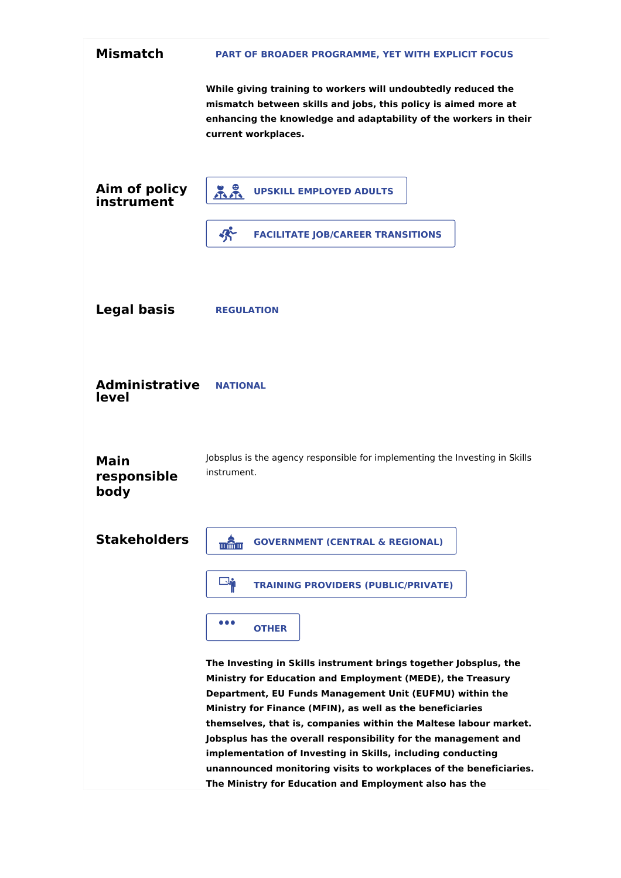| <b>Mismatch</b>                    | PART OF BROADER PROGRAMME, YET WITH EXPLICIT FOCUS                                                                                                                                                                                                                                                                                                                                                                                                                                                                                                                                         |
|------------------------------------|--------------------------------------------------------------------------------------------------------------------------------------------------------------------------------------------------------------------------------------------------------------------------------------------------------------------------------------------------------------------------------------------------------------------------------------------------------------------------------------------------------------------------------------------------------------------------------------------|
|                                    | While giving training to workers will undoubtedly reduced the<br>mismatch between skills and jobs, this policy is aimed more at<br>enhancing the knowledge and adaptability of the workers in their<br>current workplaces.                                                                                                                                                                                                                                                                                                                                                                 |
| Aim of policy<br>instrument        | 22<br><b>UPSKILL EMPLOYED ADULTS</b>                                                                                                                                                                                                                                                                                                                                                                                                                                                                                                                                                       |
|                                    | 妤<br><b>FACILITATE JOB/CAREER TRANSITIONS</b>                                                                                                                                                                                                                                                                                                                                                                                                                                                                                                                                              |
| <b>Legal basis</b>                 | <b>REGULATION</b>                                                                                                                                                                                                                                                                                                                                                                                                                                                                                                                                                                          |
| <b>Administrative</b><br>level     | <b>NATIONAL</b>                                                                                                                                                                                                                                                                                                                                                                                                                                                                                                                                                                            |
| <b>Main</b><br>responsible<br>body | Jobsplus is the agency responsible for implementing the Investing in Skills<br>instrument.                                                                                                                                                                                                                                                                                                                                                                                                                                                                                                 |
| <b>Stakeholders</b>                | <b>GOVERNMENT (CENTRAL &amp; REGIONAL)</b><br><u>णलिपा</u>                                                                                                                                                                                                                                                                                                                                                                                                                                                                                                                                 |
|                                    | <b>Report</b><br><b>TRAINING PROVIDERS (PUBLIC/PRIVATE)</b>                                                                                                                                                                                                                                                                                                                                                                                                                                                                                                                                |
|                                    | .<br><b>OTHER</b>                                                                                                                                                                                                                                                                                                                                                                                                                                                                                                                                                                          |
|                                    | The Investing in Skills instrument brings together Jobsplus, the<br>Ministry for Education and Employment (MEDE), the Treasury<br>Department, EU Funds Management Unit (EUFMU) within the<br>Ministry for Finance (MFIN), as well as the beneficiaries<br>themselves, that is, companies within the Maltese labour market.<br>Jobsplus has the overall responsibility for the management and<br>implementation of Investing in Skills, including conducting<br>unannounced monitoring visits to workplaces of the beneficiaries.<br>The Ministry for Education and Employment also has the |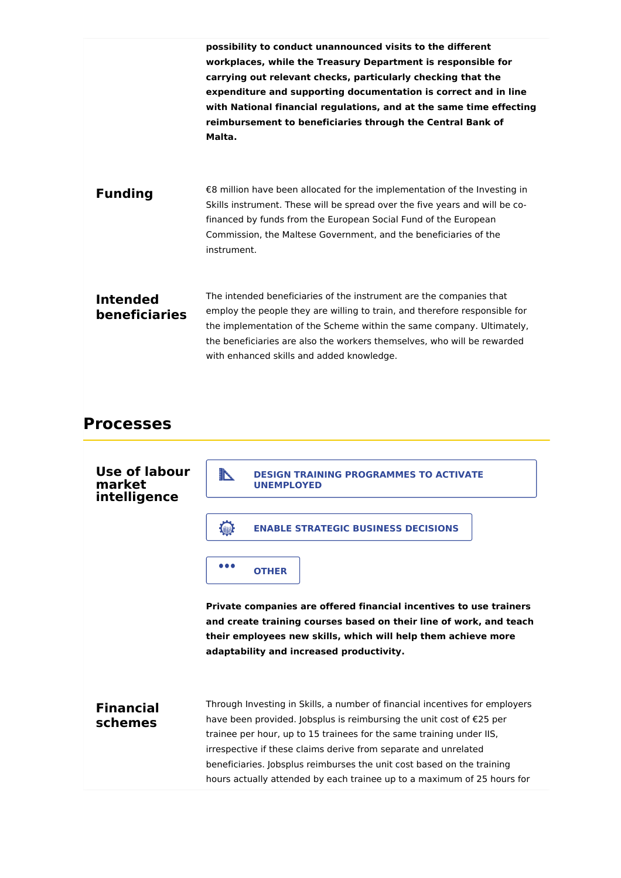|                                         | possibility to conduct unannounced visits to the different<br>workplaces, while the Treasury Department is responsible for<br>carrying out relevant checks, particularly checking that the<br>expenditure and supporting documentation is correct and in line<br>with National financial regulations, and at the same time effecting<br>reimbursement to beneficiaries through the Central Bank of<br>Malta. |
|-----------------------------------------|--------------------------------------------------------------------------------------------------------------------------------------------------------------------------------------------------------------------------------------------------------------------------------------------------------------------------------------------------------------------------------------------------------------|
| <b>Funding</b>                          | €8 million have been allocated for the implementation of the Investing in<br>Skills instrument. These will be spread over the five years and will be co-<br>financed by funds from the European Social Fund of the European<br>Commission, the Maltese Government, and the beneficiaries of the<br>instrument.                                                                                               |
| <b>Intended</b><br><b>beneficiaries</b> | The intended beneficiaries of the instrument are the companies that<br>employ the people they are willing to train, and therefore responsible for<br>the implementation of the Scheme within the same company. Ultimately,<br>the beneficiaries are also the workers themselves, who will be rewarded<br>with enhanced skills and added knowledge.                                                           |

### **Processes**

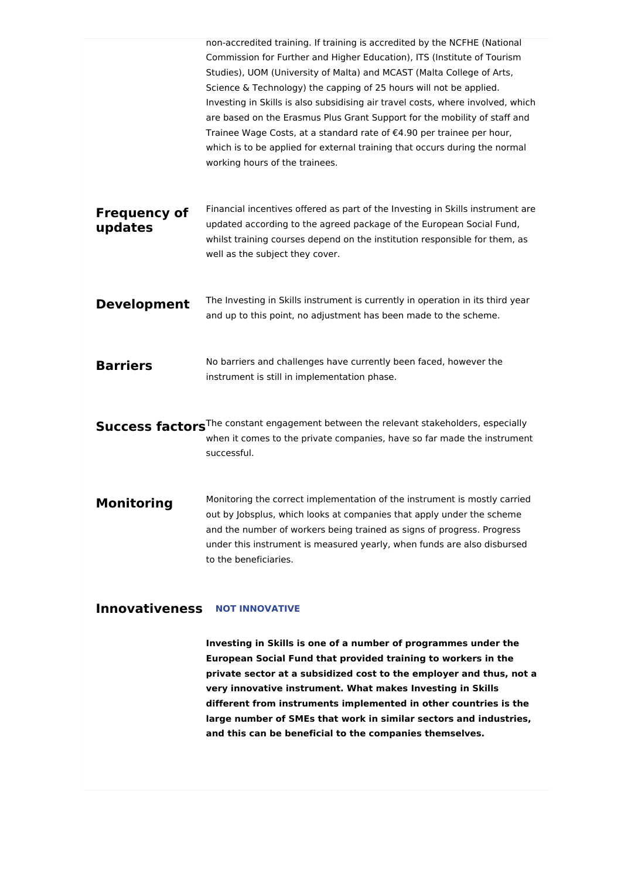|                                | non-accredited training. If training is accredited by the NCFHE (National<br>Commission for Further and Higher Education), ITS (Institute of Tourism<br>Studies), UOM (University of Malta) and MCAST (Malta College of Arts,<br>Science & Technology) the capping of 25 hours will not be applied.<br>Investing in Skills is also subsidising air travel costs, where involved, which<br>are based on the Erasmus Plus Grant Support for the mobility of staff and<br>Trainee Wage Costs, at a standard rate of €4.90 per trainee per hour,<br>which is to be applied for external training that occurs during the normal<br>working hours of the trainees. |
|--------------------------------|--------------------------------------------------------------------------------------------------------------------------------------------------------------------------------------------------------------------------------------------------------------------------------------------------------------------------------------------------------------------------------------------------------------------------------------------------------------------------------------------------------------------------------------------------------------------------------------------------------------------------------------------------------------|
| <b>Frequency of</b><br>updates | Financial incentives offered as part of the Investing in Skills instrument are<br>updated according to the agreed package of the European Social Fund,<br>whilst training courses depend on the institution responsible for them, as<br>well as the subject they cover.                                                                                                                                                                                                                                                                                                                                                                                      |
| <b>Development</b>             | The Investing in Skills instrument is currently in operation in its third year<br>and up to this point, no adjustment has been made to the scheme.                                                                                                                                                                                                                                                                                                                                                                                                                                                                                                           |
| <b>Barriers</b>                | No barriers and challenges have currently been faced, however the<br>instrument is still in implementation phase.                                                                                                                                                                                                                                                                                                                                                                                                                                                                                                                                            |
|                                | Success factors <sup>The constant engagement between the relevant stakeholders, especially</sup><br>when it comes to the private companies, have so far made the instrument<br>successful.                                                                                                                                                                                                                                                                                                                                                                                                                                                                   |
| Monitoring                     | Monitoring the correct implementation of the instrument is mostly carried<br>out by Jobsplus, which looks at companies that apply under the scheme<br>and the number of workers being trained as signs of progress. Progress<br>under this instrument is measured yearly, when funds are also disbursed<br>to the beneficiaries.                                                                                                                                                                                                                                                                                                                             |

### **Innovativeness NOT INNOVATIVE**

**Investing in Skills is one of a number of programmes under the European Social Fund that provided training to workers in the private sector at a subsidized cost to the employer and thus, not a very innovative instrument. What makes Investing in Skills different from instruments implemented in other countries is the large number of SMEs that work in similar sectors and industries, and this can be beneficial to the companies themselves.**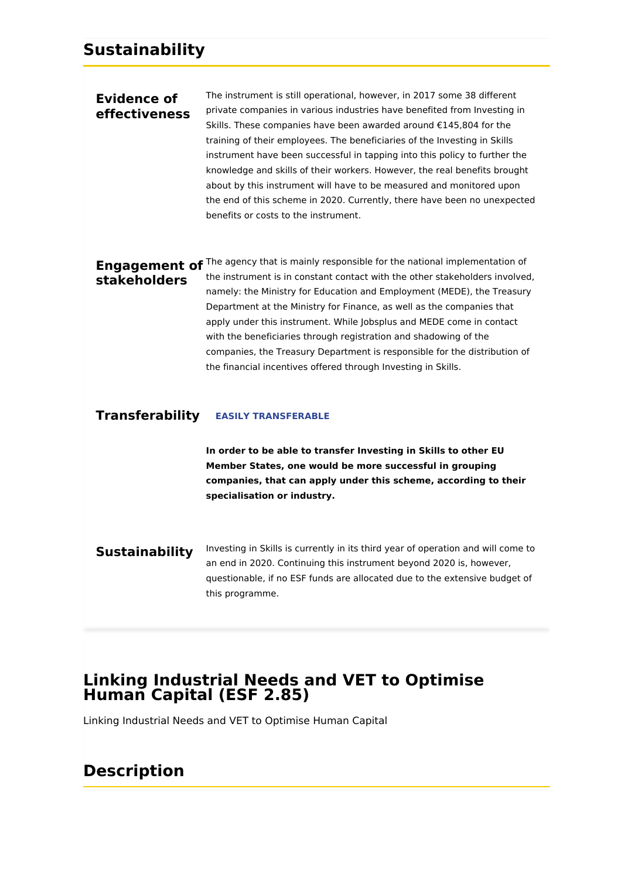### **Evidence of effectiveness**

The instrument is still operational, however, in 2017 some 38 different private companies in various industries have benefited from Investing in Skills. These companies have been awarded around €145,804 for the training of their employees. The beneficiaries of the Investing in Skills instrument have been successful in tapping into this policy to further the knowledge and skills of their workers. However, the real benefits brought about by this instrument will have to be measured and monitored upon the end of this scheme in 2020. Currently, there have been no unexpected benefits or costs to the instrument.

# **stakeholders**

**Engagement of** The agency that is mainly responsible for the national implementation of the instrument is in constant contact with the other stakeholders involved, namely: the Ministry for Education and Employment (MEDE), the Treasury Department at the Ministry for Finance, as well as the companies that apply under this instrument. While Jobsplus and MEDE come in contact with the beneficiaries through registration and shadowing of the companies, the Treasury Department is responsible for the distribution of the financial incentives offered through Investing in Skills.

### **Transferability EASILY TRANSFERABLE**

**In order to be able to transfer Investing in Skills to other EU Member States, one would be more successful in grouping companies, that can apply under this scheme, according to their specialisation or industry.**

**Sustainability** Investing in Skills is currently in its third year of operation and will come to an end in 2020. Continuing this instrument beyond 2020 is, however, questionable, if no ESF funds are allocated due to the extensive budget of this programme.

## **Linking Industrial Needs and VET to Optimise Human Capital (ESF 2.85)**

Linking Industrial Needs and VET to Optimise Human Capital

## **Description**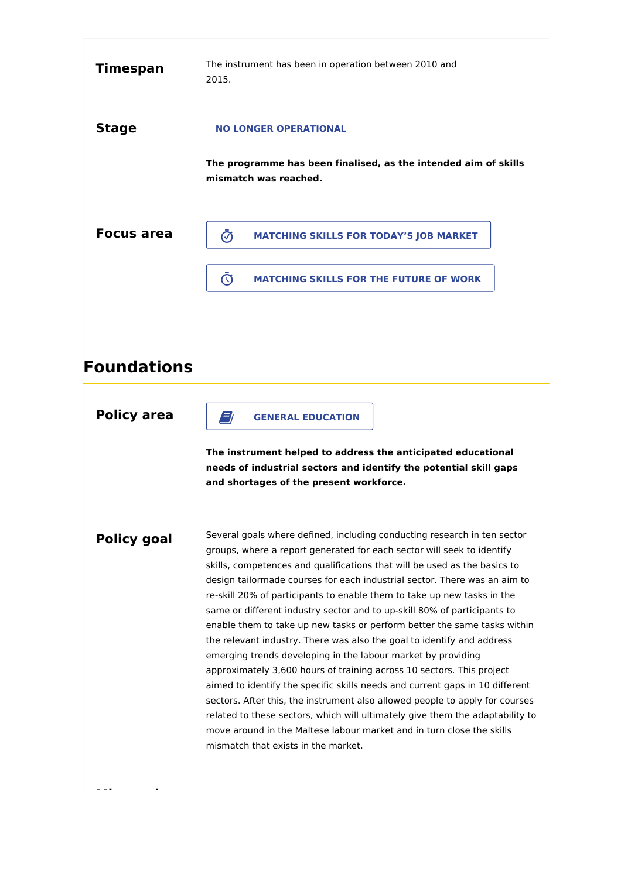| <b>Timespan</b>   | The instrument has been in operation between 2010 and<br>2015.                           |
|-------------------|------------------------------------------------------------------------------------------|
| <b>Stage</b>      | <b>NO LONGER OPERATIONAL</b>                                                             |
|                   | The programme has been finalised, as the intended aim of skills<br>mismatch was reached. |
| <b>Focus area</b> | <b>MATCHING SKILLS FOR TODAY'S JOB MARKET</b><br>∞                                       |
|                   | <b>MATCHING SKILLS FOR THE FUTURE OF WORK</b>                                            |

## **Foundations**

**Policy area**

**Mismatch**

**GENERAL EDUCATION** 

**The instrument helped to address the anticipated educational needs of industrial sectors and identify the potential skill gaps and shortages of the present workforce.**

**Policy goal** Several goals where defined, including conducting research in ten sector groups, where a report generated for each sector will seek to identify skills, competences and qualifications that will be used as the basics to design tailormade courses for each industrial sector. There was an aim to re-skill 20% of participants to enable them to take up new tasks in the same or different industry sector and to up-skill 80% of participants to enable them to take up new tasks or perform better the same tasks within the relevant industry. There was also the goal to identify and address emerging trends developing in the labour market by providing approximately 3,600 hours of training across 10 sectors. This project aimed to identify the specific skills needs and current gaps in 10 different sectors. After this, the instrument also allowed people to apply for courses related to these sectors, which will ultimately give them the adaptability to move around in the Maltese labour market and in turn close the skills mismatch that exists in the market.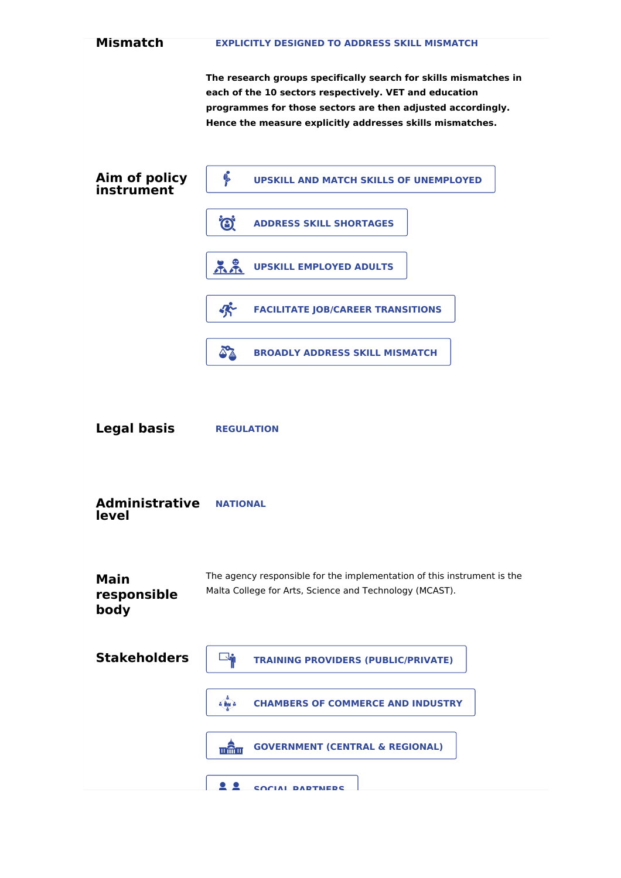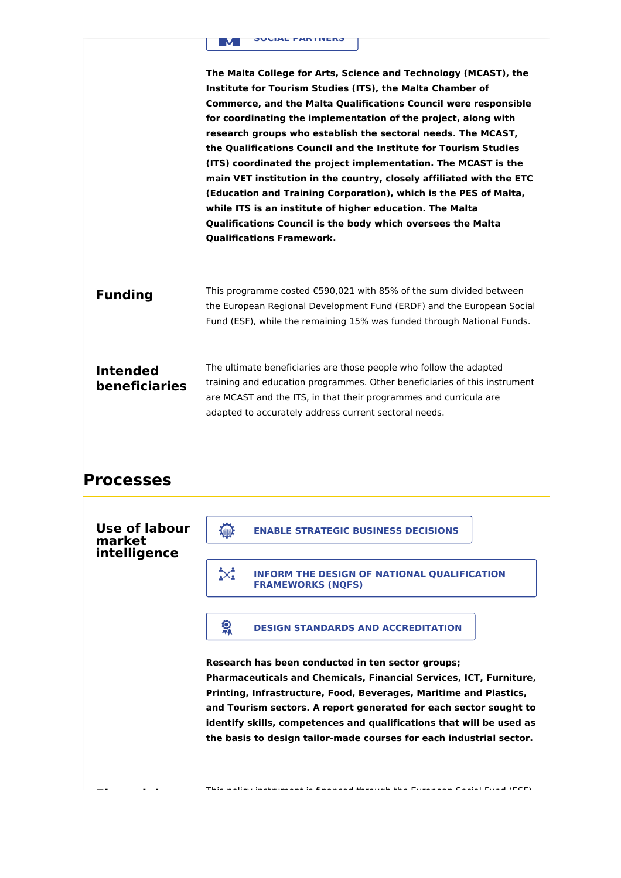

**The Malta College for Arts, Science and Technology (MCAST), the Institute for Tourism Studies (ITS), the Malta Chamber of Commerce, and the Malta Qualifications Council were responsible for coordinating the implementation of the project, along with research groups who establish the sectoral needs. The MCAST, the Qualifications Council and the Institute for Tourism Studies (ITS) coordinated the project implementation. The MCAST is the main VET institution in the country, closely affiliated with the ETC (Education and Training Corporation), which is the PES of Malta, while ITS is an institute of higher education. The Malta Qualifications Council is the body which oversees the Malta Qualifications Framework.**

**Funding** This programme costed €590,021 with 85% of the sum divided between the European Regional Development Fund (ERDF) and the European Social Fund (ESF), while the remaining 15% was funded through National Funds.

**Intended beneficiaries** The ultimate beneficiaries are those people who follow the adapted training and education programmes. Other beneficiaries of this instrument are MCAST and the ITS, in that their programmes and curricula are adapted to accurately address current sectoral needs.

## **Processes**

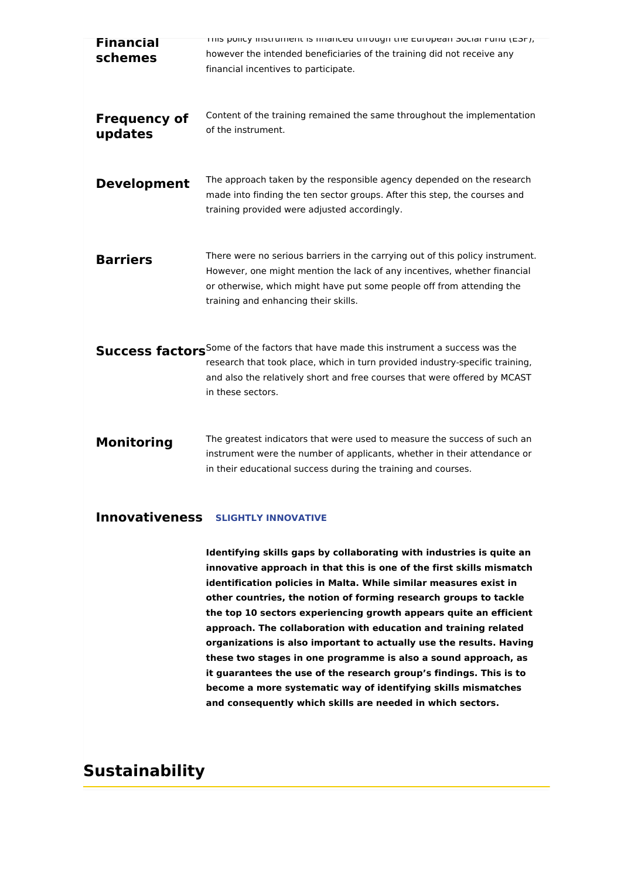| <b>Financial</b><br>schemes    | mis policy instrument is imanced through the European Social Fund (ESF),<br>however the intended beneficiaries of the training did not receive any<br>financial incentives to participate.                                                                                        |
|--------------------------------|-----------------------------------------------------------------------------------------------------------------------------------------------------------------------------------------------------------------------------------------------------------------------------------|
| <b>Frequency of</b><br>updates | Content of the training remained the same throughout the implementation<br>of the instrument.                                                                                                                                                                                     |
| <b>Development</b>             | The approach taken by the responsible agency depended on the research<br>made into finding the ten sector groups. After this step, the courses and<br>training provided were adjusted accordingly.                                                                                |
| <b>Barriers</b>                | There were no serious barriers in the carrying out of this policy instrument.<br>However, one might mention the lack of any incentives, whether financial<br>or otherwise, which might have put some people off from attending the<br>training and enhancing their skills.        |
|                                | Success factors <sup>Some of the factors that have made this instrument a success was the</sup><br>research that took place, which in turn provided industry-specific training,<br>and also the relatively short and free courses that were offered by MCAST<br>in these sectors. |
| <b>Monitoring</b>              | The greatest indicators that were used to measure the success of such an<br>instrument were the number of applicants, whether in their attendance or<br>in their educational success during the training and courses.                                                             |

### **Innovativeness SLIGHTLY INNOVATIVE**

**Identifying skills gaps by collaborating with industries is quite an innovative approach in that this is one of the first skills mismatch identification policies in Malta. While similar measures exist in other countries, the notion of forming research groups to tackle the top 10 sectors experiencing growth appears quite an efficient approach. The collaboration with education and training related organizations is also important to actually use the results. Having these two stages in one programme is also a sound approach, as it guarantees the use of the research group's findings. This is to become a more systematic way of identifying skills mismatches and consequently which skills are needed in which sectors.**

## **Sustainability**